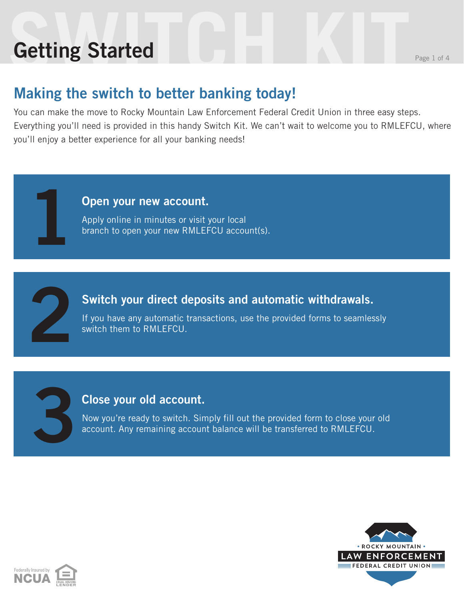# **Setting Started** Reserves the Page 1 of 4 **Getting Started**

**1**

**2**

**3**

### **Making the switch to better banking today!**

You can make the move to Rocky Mountain Law Enforcement Federal Credit Union in three easy steps. Everything you'll need is provided in this handy Switch Kit. We can't wait to welcome you to RMLEFCU, where you'll enjoy a better experience for all your banking needs!

#### **Open your new account.**

Apply online in minutes or visit your local branch to open your new RMLEFCU account(s).

#### **Switch your direct deposits and automatic withdrawals.**

If you have any automatic transactions, use the provided forms to seamlessly switch them to RMLEFCU.

#### **Close your old account.**

Now you're ready to switch. Simply fill out the provided form to close your old account. Any remaining account balance will be transferred to RMLEFCU.



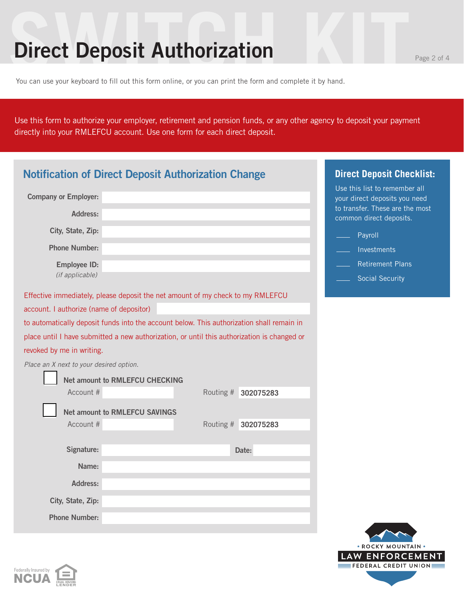### **Direct Deposit Authorization**

You can use your keyboard to fill out this form online, or you can print the form and complete it by hand.

Use this form to authorize your employer, retirement and pension funds, or any other agency to deposit your payment directly into your RMLEFCU account. Use one form for each direct deposit.

| <b>Notification of Direct Deposit Authorization Change</b> | <b>Direct Deposit Checklist:</b>                                                            |           |           |                                                                |
|------------------------------------------------------------|---------------------------------------------------------------------------------------------|-----------|-----------|----------------------------------------------------------------|
| <b>Company or Employer:</b>                                |                                                                                             |           |           | Use this list to remember all<br>your direct deposits you need |
| Address:                                                   |                                                                                             |           |           | to transfer. These are the most<br>common direct deposits.     |
| City, State, Zip:                                          |                                                                                             |           |           | Payroll                                                        |
| <b>Phone Number:</b>                                       |                                                                                             |           |           | Investments                                                    |
| Employee ID:                                               |                                                                                             |           |           | <b>Retirement Plans</b>                                        |
| (if applicable)                                            |                                                                                             |           |           | <b>Social Security</b>                                         |
|                                                            | Effective immediately, please deposit the net amount of my check to my RMLEFCU              |           |           |                                                                |
| account. I authorize (name of depositor)                   |                                                                                             |           |           |                                                                |
|                                                            | to automatically deposit funds into the account below. This authorization shall remain in   |           |           |                                                                |
|                                                            | place until I have submitted a new authorization, or until this authorization is changed or |           |           |                                                                |
| revoked by me in writing.                                  |                                                                                             |           |           |                                                                |
| Place an X next to your desired option.                    |                                                                                             |           |           |                                                                |
|                                                            | <b>Net amount to RMLEFCU CHECKING</b>                                                       |           |           |                                                                |
| Account #                                                  |                                                                                             | Routing # | 302075283 |                                                                |
|                                                            | <b>Net amount to RMLEFCU SAVINGS</b>                                                        |           |           |                                                                |
| Account #                                                  |                                                                                             | Routing # | 302075283 |                                                                |
|                                                            |                                                                                             |           |           |                                                                |
| Signature:                                                 |                                                                                             |           | Date:     |                                                                |
| Name:                                                      |                                                                                             |           |           |                                                                |
| <b>Address:</b>                                            |                                                                                             |           |           |                                                                |
| City, State, Zip:                                          |                                                                                             |           |           |                                                                |
| <b>Phone Number:</b>                                       |                                                                                             |           |           |                                                                |



\* ROCKY MOUNTAIN LAW ENFORCEMENT **EFEDERAL CREDIT UNION**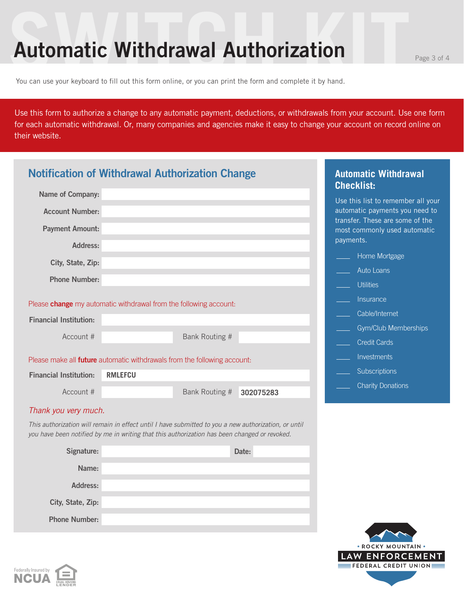### **Automatic Withdrawal Authorization**

You can use your keyboard to fill out this form online, or you can print the form and complete it by hand.

Federally Insured by **NCUA** 

Use this form to authorize a change to any automatic payment, deductions, or withdrawals from your account. Use one form for each automatic withdrawal. Or, many companies and agencies make it easy to change your account on record online on their website.

|                               | <b>Notification of Withdrawal Authorization Change</b>                                                                                                                                               |           | <b>Automatic Withdrawal</b><br><b>Checklist:</b>                  |
|-------------------------------|------------------------------------------------------------------------------------------------------------------------------------------------------------------------------------------------------|-----------|-------------------------------------------------------------------|
| <b>Name of Company:</b>       |                                                                                                                                                                                                      |           | Use this list to remember all your                                |
| <b>Account Number:</b>        |                                                                                                                                                                                                      |           | automatic payments you need to<br>transfer. These are some of the |
| <b>Payment Amount:</b>        |                                                                                                                                                                                                      |           | most commonly used automatic<br>payments.                         |
| Address:                      |                                                                                                                                                                                                      |           | Home Mortgage                                                     |
| City, State, Zip:             |                                                                                                                                                                                                      |           | Auto Loans                                                        |
| <b>Phone Number:</b>          |                                                                                                                                                                                                      |           | <b>Utilities</b>                                                  |
|                               |                                                                                                                                                                                                      |           |                                                                   |
|                               | Please <b>change</b> my automatic withdrawal from the following account:                                                                                                                             |           | Insurance                                                         |
| <b>Financial Institution:</b> |                                                                                                                                                                                                      |           | Cable/Internet                                                    |
| Account #                     | Bank Routing #                                                                                                                                                                                       |           | Gym/Club Memberships                                              |
|                               |                                                                                                                                                                                                      |           | <b>Credit Cards</b>                                               |
|                               | Please make all <b>future</b> automatic withdrawals from the following account:                                                                                                                      |           | Investments                                                       |
| <b>Financial Institution:</b> | <b>RMLEFCU</b>                                                                                                                                                                                       |           | Subscriptions                                                     |
| Account #                     | Bank Routing #                                                                                                                                                                                       | 302075283 | <b>Charity Donations</b>                                          |
| Thank you very much.          |                                                                                                                                                                                                      |           |                                                                   |
|                               | This authorization will remain in effect until I have submitted to you a new authorization, or until<br>you have been notified by me in writing that this authorization has been changed or revoked. |           |                                                                   |
| Signature:                    |                                                                                                                                                                                                      | Date:     |                                                                   |
| Name:                         |                                                                                                                                                                                                      |           |                                                                   |
| <b>Address:</b>               |                                                                                                                                                                                                      |           |                                                                   |
| City, State, Zip:             |                                                                                                                                                                                                      |           |                                                                   |
| <b>Phone Number:</b>          |                                                                                                                                                                                                      |           |                                                                   |